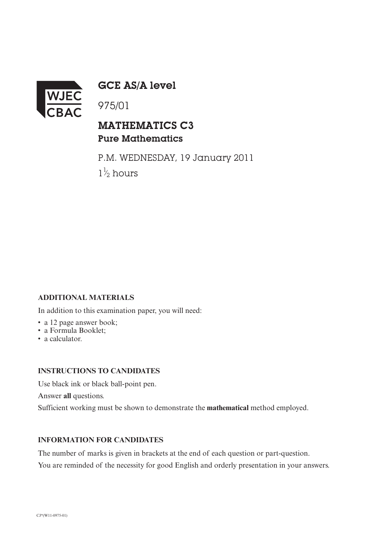

GCE AS/A level

## MATHEMATICS C3 Pure Mathematics

P.M. WEDNESDAY, 19 January 2011  $1\frac{1}{2}$  hours ⁄

### **ADDITIONAL MATERIALS**

In addition to this examination paper, you will need:

- a 12 page answer book;
- a Formula Booklet;
- a calculator.

### **INSTRUCTIONS TO CANDIDATES**

Use black ink or black ball-point pen.

Answer **all** questions.

Sufficient working must be shown to demonstrate the **mathematical** method employed.

### **INFORMATION FOR CANDIDATES**

The number of marks is given in brackets at the end of each question or part-question. You are reminded of the necessity for good English and orderly presentation in your answers.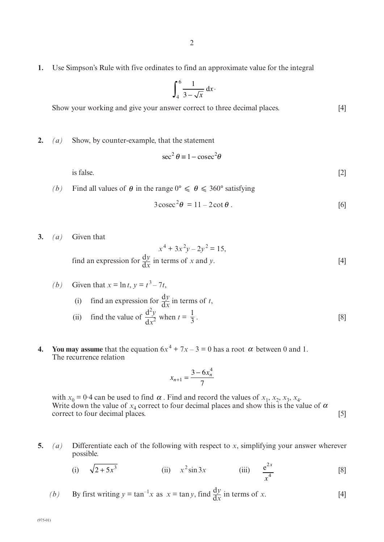**1.** Use Simpson's Rule with five ordinates to find an approximate value for the integral

$$
\int_{4}^{6} \frac{1}{3 - \sqrt{x}} \, \mathrm{d}x
$$

Show your working and give your answer correct to three decimal places. [4]

**2.** *(a)* Show, by counter-example, that the statement

$$
\sec^2 \theta \equiv 1 - \csc^2 \theta
$$

is false.  $[2]$ 

(b) Find all values of  $\theta$  in the range  $0^{\circ} \le \theta \le 360^{\circ}$  satisfying

$$
3\csc^2\theta = 11 - 2\cot\theta.
$$
 [6]

**3.** *(a)* Given that

$$
x^{4} + 3x^{2}y - 2y^{2} = 15,
$$
  
find an expression for  $\frac{dy}{dx}$  in terms of x and y. [4]

\n- (b) Given that 
$$
x = \ln t
$$
,  $y = t^3 - 7t$ ,
\n- (i) find an expression for  $\frac{dy}{dx}$  in terms of  $t$ ,
\n- (ii) find the value of  $\frac{d^2y}{dx^2}$  when  $t = \frac{1}{3}$ .
\n

**4.** You may assume that the equation  $6x^4 + 7x - 3 = 0$  has a root  $\alpha$  between 0 and 1. The recurrence relation

$$
x_{n+1} = \frac{3 - 6x_n^4}{7}
$$

with  $x_0 = 0.4$  can be used to find  $\alpha$ . Find and record the values of  $x_1, x_2, x_3, x_4$ . Write down the value of  $x_4$  correct to four decimal places and show this is the value of  $\alpha$ correct to four decimal places. [5] α

**5.** *(a)* Differentiate each of the following with respect to *x*, simplifying your answer wherever possible.

(i) 
$$
\sqrt{2+5x^3}
$$
 (ii)  $x^2 \sin 3x$  (iii)  $\frac{e^{2x}}{x^4}$  [8]

*(b)* By first writing  $y = \tan^{-1}x$  as  $x = \tan y$ , find  $\frac{dy}{dx}$  in terms of *x*. [4]  $\overline{dx}$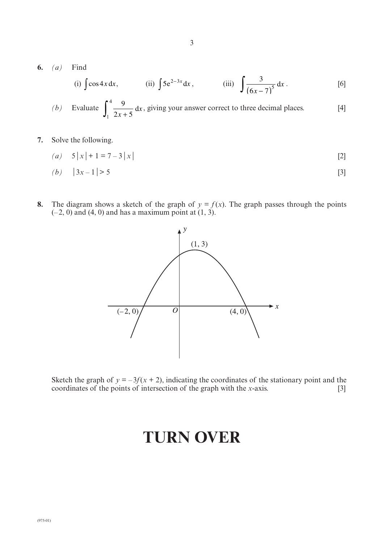**6.** *(a)* Find

(i) 
$$
\int \cos 4x \, dx
$$
, (ii)  $\int 5e^{2-3x} \, dx$ , (iii)  $\int \frac{3}{(6x-7)^5} \, dx$ . [6]

(b) Evaluate 
$$
\int_1^4 \frac{9}{2x+5} dx
$$
, giving your answer correct to three decimal places. [4]

3

**7.** Solve the following.

$$
(a) \quad 5|x| + 1 = 7 - 3|x| \tag{2}
$$

$$
(b) \quad |3x-1| > 5 \tag{3}
$$

**8.** The diagram shows a sketch of the graph of  $y = f(x)$ . The graph passes through the points  $(-2, 0)$  and  $(4, 0)$  and has a maximum point at  $(1, 3)$ .



Sketch the graph of  $y = -3f(x + 2)$ , indicating the coordinates of the stationary point and the coordinates of the points of intersection of the graph with the *x*-axis. [3]

# **TURN OVER**